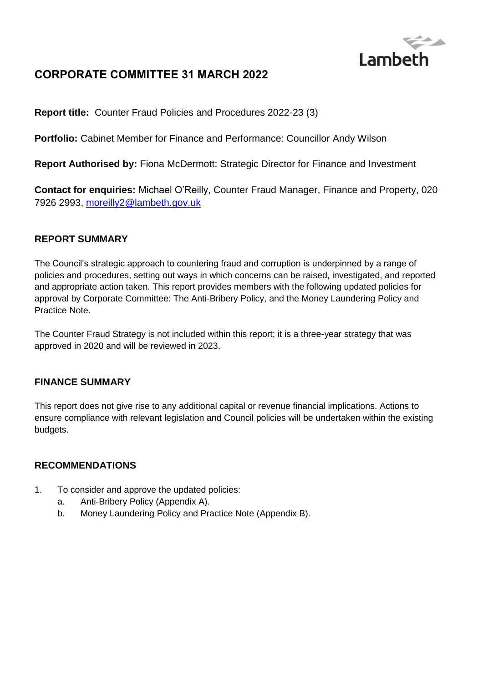

# **CORPORATE COMMITTEE 31 MARCH 2022**

**Report title:** Counter Fraud Policies and Procedures 2022-23 (3)

**Portfolio:** Cabinet Member for Finance and Performance: Councillor Andy Wilson

**Report Authorised by:** Fiona McDermott: Strategic Director for Finance and Investment

**Contact for enquiries:** Michael O'Reilly, Counter Fraud Manager, Finance and Property, 020 7926 2993, [moreilly2@lambeth.gov.uk](mailto:moreilly2@lambeth.gov.uk)

## **REPORT SUMMARY**

The Council's strategic approach to countering fraud and corruption is underpinned by a range of policies and procedures, setting out ways in which concerns can be raised, investigated, and reported and appropriate action taken. This report provides members with the following updated policies for approval by Corporate Committee: The Anti-Bribery Policy, and the Money Laundering Policy and Practice Note.

The Counter Fraud Strategy is not included within this report; it is a three-year strategy that was approved in 2020 and will be reviewed in 2023.

### **FINANCE SUMMARY**

This report does not give rise to any additional capital or revenue financial implications. Actions to ensure compliance with relevant legislation and Council policies will be undertaken within the existing budgets.

### **RECOMMENDATIONS**

- 1. To consider and approve the updated policies:
	- a. Anti-Bribery Policy (Appendix A).
	- b. Money Laundering Policy and Practice Note (Appendix B).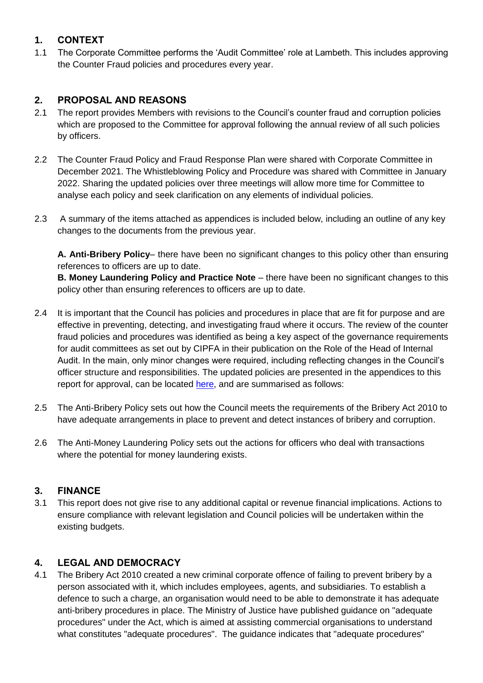## **1. CONTEXT**

1.1 The Corporate Committee performs the 'Audit Committee' role at Lambeth. This includes approving the Counter Fraud policies and procedures every year.

## **2. PROPOSAL AND REASONS**

- 2.1 The report provides Members with revisions to the Council's counter fraud and corruption policies which are proposed to the Committee for approval following the annual review of all such policies by officers.
- 2.2 The Counter Fraud Policy and Fraud Response Plan were shared with Corporate Committee in December 2021. The Whistleblowing Policy and Procedure was shared with Committee in January 2022. Sharing the updated policies over three meetings will allow more time for Committee to analyse each policy and seek clarification on any elements of individual policies.
- 2.3 A summary of the items attached as appendices is included below, including an outline of any key changes to the documents from the previous year.

**A. Anti-Bribery Policy**– there have been no significant changes to this policy other than ensuring references to officers are up to date.

**B. Money Laundering Policy and Practice Note** – there have been no significant changes to this policy other than ensuring references to officers are up to date.

- 2.4 It is important that the Council has policies and procedures in place that are fit for purpose and are effective in preventing, detecting, and investigating fraud where it occurs. The review of the counter fraud policies and procedures was identified as being a key aspect of the governance requirements for audit committees as set out by CIPFA in their publication on the Role of the Head of Internal Audit. In the main, only minor changes were required, including reflecting changes in the Council's officer structure and responsibilities. The updated policies are presented in the appendices to this report for approval, can be located [here,](https://moderngov.lambeth.gov.uk/ieIssueDetails.aspx?IId=64298&PlanId=0&Opt=3#AI49744) and are summarised as follows:
- 2.5 The Anti-Bribery Policy sets out how the Council meets the requirements of the Bribery Act 2010 to have adequate arrangements in place to prevent and detect instances of bribery and corruption.
- 2.6 The Anti-Money Laundering Policy sets out the actions for officers who deal with transactions where the potential for money laundering exists.

## **3. FINANCE**

3.1 This report does not give rise to any additional capital or revenue financial implications. Actions to ensure compliance with relevant legislation and Council policies will be undertaken within the existing budgets.

## **4. LEGAL AND DEMOCRACY**

4.1 The Bribery Act 2010 created a new criminal corporate offence of failing to prevent bribery by a person associated with it, which includes employees, agents, and subsidiaries. To establish a defence to such a charge, an organisation would need to be able to demonstrate it has adequate anti-bribery procedures in place. The Ministry of Justice have published guidance on "adequate procedures" under the Act, which is aimed at assisting commercial organisations to understand what constitutes "adequate procedures". The guidance indicates that "adequate procedures"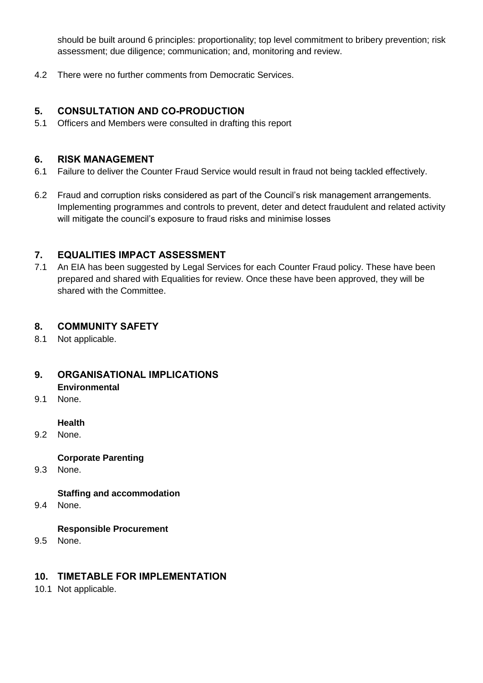should be built around 6 principles: proportionality; top level commitment to bribery prevention; risk assessment; due diligence; communication; and, monitoring and review.

4.2 There were no further comments from Democratic Services.

### **5. CONSULTATION AND CO-PRODUCTION**

5.1 Officers and Members were consulted in drafting this report

### **6. RISK MANAGEMENT**

- 6.1 Failure to deliver the Counter Fraud Service would result in fraud not being tackled effectively.
- 6.2 Fraud and corruption risks considered as part of the Council's risk management arrangements. Implementing programmes and controls to prevent, deter and detect fraudulent and related activity will mitigate the council's exposure to fraud risks and minimise losses

## **7. EQUALITIES IMPACT ASSESSMENT**

7.1 An EIA has been suggested by Legal Services for each Counter Fraud policy. These have been prepared and shared with Equalities for review. Once these have been approved, they will be shared with the Committee.

## **8. COMMUNITY SAFETY**

8.1 Not applicable.

## **9. ORGANISATIONAL IMPLICATIONS Environmental**

9.1 None.

### **Health**

9.2 None.

### **Corporate Parenting**

9.3 None.

### **Staffing and accommodation**

9.4 None.

### **Responsible Procurement**

9.5 None.

### **10. TIMETABLE FOR IMPLEMENTATION**

10.1 Not applicable.